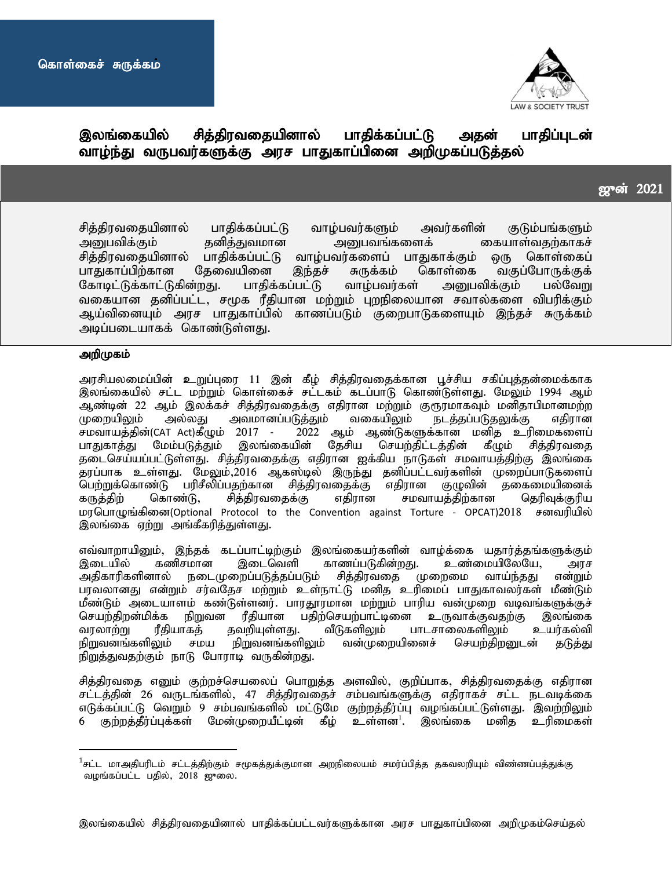ri<br>1



# இலங்கையில் சித்திரவதையினால் பாதிக்கப்பட்டு அதன் பாதிப்புடன் வாழ்ந்து வருபவர்களுக்கு அரச பாதுகாப்பினை அறிமுகப்படுத்தல்

## $\overline{2021}$

சித்திரவதையினால் பாதிக்கப்பட்டு வாழ்பவர்களும் அவர்களின் குடும்பங்களும்<br>அபைவிக்கும் தனித்துவமான அறைபவங்களைக் கையாள்வதற்காகச் mDgtpf;Fk; jdpj;Jtkhd mDgtq;fisf; ifahs;tjw;fhfr; சித்திரவதையினால் பாதிக்கப்பட்டு வாழ்பவர்களைப் பாதுகாக்கும் ஒரு<br>பாதுகாப்பிற்கான தேவையினை இந்தச் சுருக்கம் கொள்கை வகு வகுப்போருக்குக் கோடிட்டுக்காட்டுகின்றது. பாதிக்கப்பட்டு வாழ்பவர்கள் அனுபவிக்கும் பல்வேறு வகையான தனிப்பட்ட, சமூக ரீதியான மற்றும் புறநிலையான சவால்களை விபரிக்கும் ஆய்வினையும் அரச பாதுகாப்பில் காணப்படும் குறைபாடுகளையும் இந்தச் சுருக்கம் அடிப்படையாகக் கொண்டுள்ளது.

#### அறிமுகம்

அரசியலமைப்பின் உறுப்புரை 11 இன் கீழ் சித்திரவதைக்கான பூச்சிய சகிப்புத்தன்மைக்காக இலங்கையில் சட்ட மற்றும் கொள்கைச் சட்டகம் கடப்பாடு கொண்டுள்ளது. மேலும் 1994 ஆம் ஆண்டின் 22 ஆம் இலக்கச் சித்திரவதைக்கு எதிரான மற்றும் குரூரமாகவும் மனிதாபிமானமற்ற<br>முறையிலும் அல்லது அவமானப்படுத்தும் வகையிலும் நடத்தப்படுதலுக்கு எதிரான முறையிலும் அல்லது அவமானப்படுத்தும் வகையிலும் நடத்தப்படுதலுக்கு எதிரான<br>சமவாயத்தின்(CAT Act)கீழும் 2017 - 2022 ஆம் ஆண்டுகளுக்கான மனித உரிமைகளைப் சமவாயத்தின்(CAT Act)கீழும் 2017 - 2022 ஆம் ஆண்டுகளுக்கான மனித உரிமைகளைப்<br>பாதுகாத்து மேம்படுத்தும் இலங்கையின் தேசிய செயற்திட்டத்தின் கீழும் சித்திரவதை கீழும் சித்திரவதை தடைசெய்யப்பட்டுள்ளது. சித்திரவதைக்கு எதிரான ஐக்கிய நாடுகள் சமவாயத்திற்கு இலங்கை தரப்பாக உள்ளது. மேலும்,2016 ஆகஸ்டில் இருந்து தனிப்பட்டவர்களின் முறைப்பாடுகளைப்<br>பெற்றுக்கொண்டு பரிசீலிப்பதற்கான சித்திரவதைக்கு எதிரான குழுவின் தகைமையினைக் பெற்றுக்கொண்டு பரிசீலிப்பதற்கான சித்திரவதைக்கு கருத்திற் கொண்டு, சித்திரவதைக்கு எதிரான சமவாயத்திற்கான தெரிவுக்குரிய மரபொழுங்கினை(Optional Protocol to the Convention against Torture - OPCAT)2018 சனவரியில் இலங்கை ஏற்று அங்கீகரித்துள்ளது.

எவ்வாறாயினும், இந்தக் கடப்பாட்டிற்கும் இலங்கையர்களின் வாழ்க்கை யதார்த்தங்களுக்கும்<br>இடையில் கணிசமான இடைவெளி காணப்படுகின்றது. உண்மையிலேயே. அரச இடையில் கணிசமான இடைவெளி காணப்படுகின்றது. உண்மையிலேயே, அரச<br>அகிகாரிகளினால் நடைமுறைப்படுக்கப்படும் சிக்கிரவகை முறைமை வாய்ந்ககு என்றும் நடைமுறைப்படுத்தப்படும் சித்திரவதை முறைமை பரவலானது என்றும் சர்வதேச மற்றும் உள்நாட்டு மனித உரிமைப் பாதுகாவலர்கள் மீண்டும் மீண்டும் அடையாளம் கண்டுள்ளனர். பாரதூரமான மற்றும் பாரிய வன்முறை வடிவங்களுக்குச் செயற்திறன்மிக்க நிறுவன ரீதியான பதிற்செயற்பாட்டினை உருவாக்குவதற்கு இலங்கை<br>வரலாற்று ரீதியாகத் தவறியுள்ளது. வீடுகளிலும் பாடசாலைகளிலும் உயர்கல்வி }களிலும் பாடசாலைகளிலும் உ<br>வன்முறையினைச் செயற்திறனுடன் நிறுவனங்களிலும் சமய நிறுவனங்களிலும் வன்முறையினைச் செயற்திறனுடன் தடுத்து நிறுத்துவதற்கும் நாடு போராடி வருகின்றது.

சித்திரவதை எனும் குற்றச்செயலைப் பொறுத்த அளவில், குறிப்பாக, சித்திரவதைக்கு எதிரான சட்டத்தின் 26 வருடங்களில், 47 சித்திரவதைச் சம்பவங்களுக்கு எதிராகச் சட்ட நடவடிக்கை எடுக்கப்பட்டு வெறும் 9 சம்பவங்களில் மட்டுமே குற்றத்தீர்ப்பு வழங்கப்பட்டுள்ளது. இவற்றிலும் 6 குற்றத்தீர்ப்புக்கள் மேன்முறையீட்டின் கீழ் உள்ளன $^{\rm l}$ . இலங்கை மனிக உரிமைகள்

 $^{\rm 1}$ சட்ட மாஅதிபரிடம் சட்டத்திற்கும் சமூகத்துக்குமான அறநிலையம் சமர்ப்பித்த தகவலறியும் விண்ணப்பத்துக்கு வழங்கப்பட்ட பதில், 2018 ஜுலை.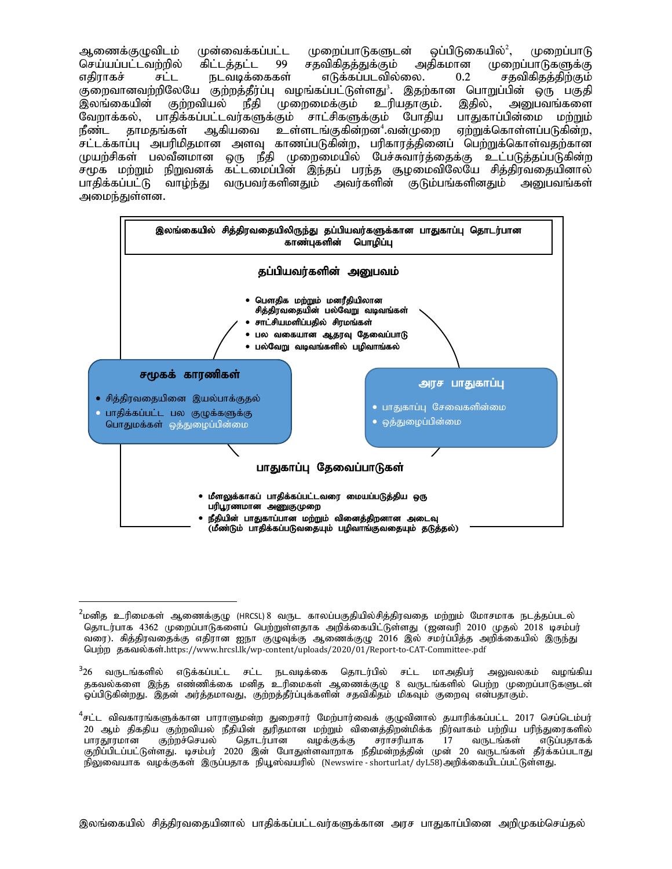ஆணைக்குழுவிடம் முன்வைக்கப்பட்ட முறைப்பாடுகளுடன் ஒப்பிடுகையில் $^2$ ,  $\,$ (முறைப்பாடு செய்யப்பட்டவற்றில் கிட்டத்தட்ட 99 சதவிகிதத்துக்கும் அதிகமான முறைப்பாடுகளுக்கு எதிராகச் சட்ட நடவடிக்கைகள் எடுக்கப்படவில்லை. 0.2 சதவிகிதத்திற்கும் குறைவானவற்றிலேயே குற்றத்தீர்ப்பு வழங்கப்பட்டுள்ளது<sup>3</sup>. இதற்கான பொறுப்பின் ஒரு பகுதி இலங்கையின் குற்றவியல் நீதி முறைமைக்கும் உரியதாகும். இதில், அனுபவங்களை வேறாக்கல், பாதிக்கப்பட்டவர்களுக்கும் சாட்சிகளுக்கும் போதிய பாதுகாப்பின்மை மற்றும்<br>நீண்ட காமகங்கள் ஆகியவை உள்ளடங்குகின்றன<sup>4</sup>.வன்முறை எற்றுக்கொள்ளப்படுகின்ற. நீண்ட தாமதங்கள் ஆகியவை உள்ளடங்குகின்றன<sup>4</sup>.வன்முறை ஏற்றுக்கொள்ளப்படுகின்ற, சட்டக்காப்பு அபரிமிதமான அளவு காணப்படுகின்ற, பரிகாரத்தினைப் பெற்றுக்கொள்வதற்கான முயற்சிகள் பலவீனமான ஒரு நீதி முறைமையில் பேச்சுவார்த்தைக்கு உட்படுத்தப்படுகின்ற சமூக மற்றும் நிறுவனக் கட்டமைப்பின் இந்தப் பரந்த சூழமைவிலேயே சித்திரவதையினால் பாதிக்கப்பட்டு வாழ்ந்து வருபவர்களினதும் அவர்களின் குடும்பங்களினதும் அனுபவங்கள் அமைந்துள்ளன.



 $^2$ மனித உரிமைகள் ஆணைக்குழு (HRCSL) 8 வருட காலப்பகுதியில்சித்திரவதை மற்றும் மோசமாக நடத்தப்படல் தொடர்பாக 4362 முறைப்பாடுகளைப் பெற்றுள்ளதாக அறிக்கையிட்டுள்ளது (ஜனவரி 2010 முதல் 2018 டிசம்பர் வரை). சித்திரவதைக்கு எதிரான ஐநா குழுவுக்கு ஆணைக்குழு 2016 இல் சமர்ப்பித்த அறிக்கையில் இருந்து பெற்ற தகவல்கள்.https://www.hrcsl.lk/wp-content/uploads/2020/01/Report-to-CAT-Committee-.pdf

<sup>&</sup>lt;sup>3</sup>26 வருடங்களில் எடுக்கப்பட்ட சட்ட நடவடிக்கை தொடர்பில் சட்ட மாஅதிபர் அலுவலகம் வழங்கிய ககவல்களை இந்த எண்ணிக்கை மனித உரிமைகள் ஆணைக்குழு 8 வருடங்களில் பெற்ற முறைப்பாடுகளுடன் .<br>ஓப்பிடுகின்றது. இதன் அர்த்தமாவது, குற்றத்தீர்ப்புக்களின் சதவிகிதம் மிகவும் குறைவு என்பதாகும்.

 $^4$ சட்ட விவகாரங்களுக்கான பாராளுமன்ற துறைசார் மேற்பார்வைக் குழுவினால் தயாரிக்கப்பட்ட 2017 செப்டெம்பர் 20 ஆம் திகதிய குற்றவியல் நீதியின் துரிதமான மற்றும் வினைத்திறன்மிக்க நிர்வாகம் பற்றிய பரிந்துரைகளில்<br>பாரதூரமான குற்றச்செயல் தொடர்பான வழக்குக்கு சராசரியாக 17 வருடங்கள் எடுப்பதாகக் குற்றச்செயல் தொடர்பான வழக்குக்கு சராசரியாக 17 வருடங்கள் குறிப்பிடப்பட்டுள்ளது. டிசம்பர் 2020 இன் போதுள்ளவாறாக நீதிமன்றத்தின் முன் 20 வருடங்கள் தீர்க்கப்படாது நிலுவையாக வழக்குகள் இருப்பதாக நியூஸ்வயரில் (Newswire - shorturl.at/ dyL58)அறிக்கையிடப்பட்டுள்ளது.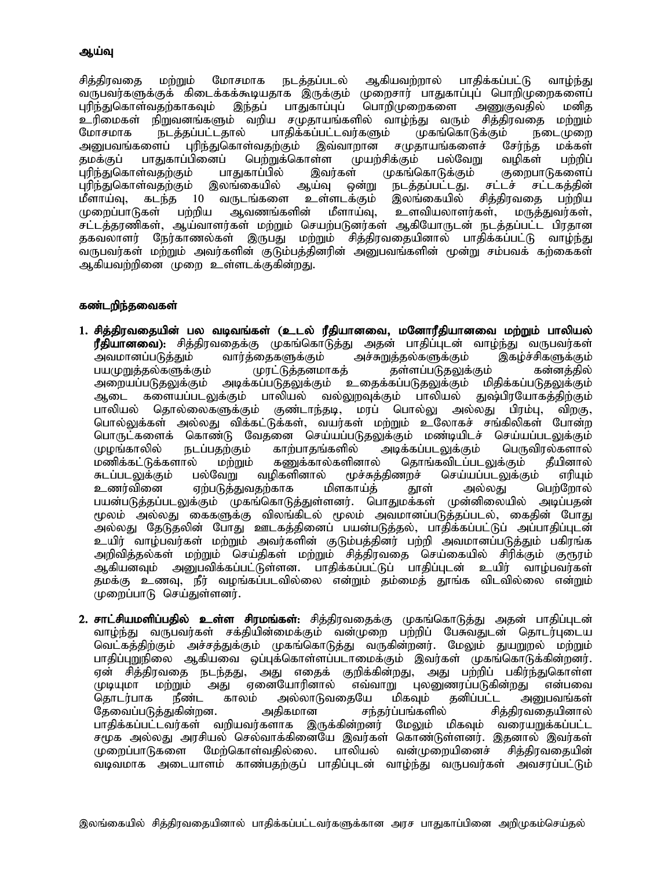#### ஆய்வு

சித்திரவதை மற்றும் மோசமாக நடத்தப்படல் ஆகியவற்றால் பாதிக்கப்பட்டு வாழ்ந்து வருபவர்களுக்குக் கிடைக்கக்கூடியதாக இருக்கும் முறைசார் பாதுகாப்புப் பொறிமுறைகளைப்<br>புரிந்துகொள்வதற்காகவும் இந்தப் பாதுகாப்புப் பொறிமுறைகளை அணுகுவதில் மனித புரிந்துகொள்வதற்காகவும் இந்தப் பாதுகாப்புப் பொறிமுறைகளை அணுகுவதில் மனித<br>உரிமைகள் நிறுவனங்களும் வறிய சமுதாயங்களில் வாழ்ந்து வரும் சித்திரவதை மற்றும் உரிமைகள் நிறுவனங்களும் வறிய சமுதாயங்களில் வாழ்ந்து வரும் சித்திரவதை<br>மோசமாக நடத்தப்பட்டதால் பாதிக்கப்பட்டவர்களும் முகங்கொடுக்கும் நன மோசமாக நடத்தப்பட்டதால் பாதிக்கப்பட்டவர்களும் முகங்கொடுக்கும் நடைமுறை<br>அனுபவங்களைப் புரிந்துகொள்வதற்கும் இவ்வாறான சமுதாயங்களைச் சேர்ந்த மக்கள் புரிந்துகொள்வதற்கும் இவ்வாறான சமுதாயங்களைச் சேர்ந்த மக்கள்<br>ப்பினைப் பெற்றுக்கொள்ள முயற்சிக்கும் பல்வேறு வமிகள் பற்றிப் தமக்குப் பாதுகாப்பினைப் பெற்றுக்கொள்ள முயற்சிக்கும் பல்வேறு வழிகள்<br>புரிந்துகொள்வதற்கும் பாதுகாப்பில் இவர்கள் முகங்கொடுக்கும் குறைபா புரிந்துகொள்வதற்கும் பாதுகாப்பில் இவர்கள் முகங்கொடுக்கும் குறைபாடுகளைப்<br>புரிந்துகொள்வதற்கும் இலங்கையில் ஆய்வு ஒன்று நடத்தப்பட்டது. சட்டச் சட்டகத்தின் புரிந்துகொள்வதற்கும் இலங்கையில் ஆய்வு ஒன்று நடத்தப்பட்டது. சட்டச் சட்டகத்தின்<br>மீளாய்வு, கடந்த 10 வருடங்களை உள்ளடக்கும் இலங்கையில் சித்திரவதை பற்றிய மீளாய்வு, கடந்த 10 வருடங்களை உள்ளடக்கும் இலங்கையில் சித்திரவதை பற்றிய<br>முறைப்பாடுகள் பற்றிய ஆவணங்களின் மீளாய்வு, உளவியலாளர்கள், மருத்துவர்கள், உளவியலாளர்கள், சட்டத்தரணிகள், ஆய்வாளர்கள் மற்றும் செயற்படுனர்கள் ஆகியோருடன் நடத்தப்பட்ட பிரதான தகவலாளர் நேர்காணல்கள் இருபது மற்றும் சித்திரவதையினால் பாதிக்கப்பட்டு வாழ்ந்து வருபவர்கள் மற்றும் அவர்களின் குடும்பத்தினரின் அனுபவங்களின் மூன்று சம்பவக் கற்கைகள் ஆகியவற்றினை முறை உள்ளடக்குகின்றது.

### கண்டறிந்தவைகள்

- 1. சித்திரவதையின் பல வடிவங்கள் (உடல் ரீதியானவை, மனோரீதியானவை மற்றும் பாலியல் **ரீதியானவை):** சித்திரவதைக்கு முகங்கொடுத்து அதன் பாதிப்புடன் வாழ்ந்து வருபவர்கள்<br>அவமானப்படுத்தும் வார்த்தைகளுக்கும் அச்சுறுத்தல்களுக்கும் இகழ்ச்சிகளுக்கும் ணைதகளுக்கும் அச்சுறுத்தல்களுக்கும் இகழ்ச்சிகளுக்கும்<br>முரட்டுத்தனமாகத் தள்ளப்படுதலுக்கும் கன்னத்தில் பயமுறுத்தல்களுக்கும் முரட்டுத்தனமாச<br>அறையப்படுதலுக்கும் அடிக்கப்படுதலுக்கும் அறையப்படுதலுக்கும் அடிக்கப்படுதலுக்கும் உதைக்கப்படுதலுக்கும் மிதிக்கப்படுதலுக்கும்<br>ஆடை களையப்படலுக்கும் பாலியல் வல்லுறவுக்கும் பாலியல் துஷ்பிரயோகத்திற்கும் களையப்படலுக்கும் பாலியல் வல்லுறவுக்கும் பாலியல் துஷ்பிரயோகத்திற்கும்<br>தொல்லைகளுக்கும் குண்டாந்தடி, மரப் பொல்லு அல்லது பிரம்பு, விறகு, பாலியல் தொல்லைகளுக்கும் குண்டாந்தடி, மரப் பொல்லு அல்லது பிரம்பு, <u>பொல்லுக்கள் அல்லது விக்கட்டுக்கள், வயர்கள் மற்றும் உ</u>லோகச் சங்கிலிகள் போன்ற பொருட்களைக் கொண்டு வேதனை செய்யப்படுதலுக்கும் மண்டியிடச் செய்யப்படலுக்கும்<br>முமங்காலில் நடப்பகற்கும் காற்பாகங்களில் அடிக்கப்படலுக்கும் பொுவிால்களால் முழங்காலில் நடப்பதற்கும் காற்பாதங்களில் அடிக்கப்படலுக்கும் பெருவிரல்களால்<br>மணிக்கட்டுக்களால் மற்றும் கணுக்கால்களினால் தொங்கவிடப்படலுக்கும் தீயினால் மணிக்கட்டுக்களால் மற்றும் கணுக்கால்களினால் தொங்கவிடப்படலுக்கும் தீயினால்<br>சுடப்படலுக்கும் பல்வேறு வழிகளினால் மூச்சுத்திணறச் செய்யப்படலுக்கும் எரியும் சுடப்படலுக்கும் பல்வேறு வழிகளினால் மூச்சுத்திணறச் செய்யப்படலுக்கும் எரியும்<br>உணர்வினை ஏற்படுத்துவதற்காக மிளகாய்த் தூள் அல்லது பெற்றோல் ஏற்படுத்துவதற்காக மிளகாய்த் தூள் பயன்படுத்தப்படலுக்கும் முகங்கொடுத்துள்ளனர். பொதுமக்கள் முன்னிலையில் அடிப்பதன் மூலம் அல்லது கைகளுக்கு விலங்கிடல் மூலம் அவமானப்படுத்தப்படல், கைதின் போது அல்லது தேடுதலின் போது ஊடகத்தினைப் பயன்படுத்தல், பாதிக்கப்பட்டுப் அப்பாதிப்புடன் உயிர் வாழ்பவர்கள் மற்றும் அவர்களின் குடும்பத்தினர் பற்றி அவமானப்படுத்தும் பகிரங்க அறிவித்தல்கள் மற்றும் செய்திகள் மற்றும் சித்திரவதை செய்கையில் சிரிக்கும் குரூரம் ஆகியனவும் அனுபவிக்கப்பட்டுள்ளன. பாதிக்கப்பட்டுப் பாதிப்புடன் உயிர் வாழ்பவர்கள் தமக்கு உணவு, நீர் வழங்கப்படவில்லை என்றும் தம்மைத் தூங்க விடவில்லை என்றும் முறைப்பாடு செய்துள்ளனர்.
- 2. சாட்சியமளிப்பதில் உள்ள சிரமங்கள்: சித்திரவதைக்கு முகங்கொடுத்து அதன் பாதிப்புடன் வாழ்ந்து வருபவர்கள் சக்தியின்மைக்கும் வன்முறை பற்றிப் பேசுவதுடன் தொடர்புடைய வெட்கத்திற்கும் அச்சத்துக்கும் முகங்கொடுத்து வருகின்றனர். மேலும் துயறுறல் மற்றும் பாதிப்புறுநிலை ஆகியவை வப்புக்கொள்ளப்படாமைக்கும் இவர்கள் முகங்கொடுக்கின்றனர். ஏன் சித்திரவதை நடந்தது, அது எதைக் குறிக்கின்றது, அது பற்றிப் பகிர்ந்துகொள்ள<br>முடியுமா மற்றும் அது ஏனையோரினால் எவ்வாறு புலனுணரப்படுகின்றது என்பவை முடியுமா மற்றும் அது ஏனையோரினால் எவ்வாறு புலனுணரப்படுகின்றது<br>கொடர்பாக நீண்ட காலம் அல்லாடுவகையே மிகவம் கனிப்பட்ட அ தொடர்பாக நீண்ட காலம் அல்லாடுவதையே மிகவும் தனிப்பட்ட அனுபவங்கள்<br>தேவைப்படுத்துகின்றன. அதிகமான சந்தர்ப்பங்களில் சித்திரவதையினால் Njitg;gLj;Jfpd;wd. mjpfkhd re ;ju;g;gq;fspy; rpj;jputijapdhy; பாதிக்கப்பட்டவர்கள் வறியவர்களாக இருக்கின்றனர் சமுக அல்லது அரசியல் செல்வாக்கினையே இவர்கள் கொண்டுள்ளனர். இதனால் இவர்கள்<br>முறைப்பாடுகளை மேற்கொள்வதில்லை. பாலியல் வன்முறையினைச் சித்திரவதையின் முறைப்பாடுகளை மேற்கொள்வகில்லை. பாலியல் வடிவமாக அடையாளம் காண்பதற்குப் பாதிப்புடன் வாழ்ந்து வருபவர்கள் அவசரப்பட்டும்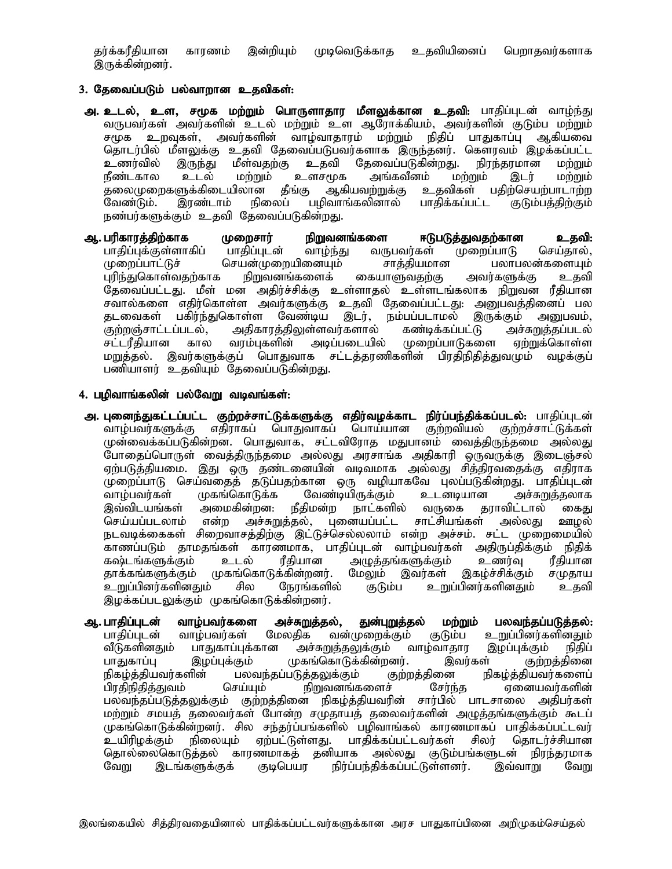தர்க்கரீதியான காரணம் இன்றியும் முடிவெடுக்காத உதவியினைப் பெறாதவர்களாக இருக்கின்றனர்.

## 3. தேவைப்படும் பல்வாறான உதவிகள்:

- அ. உடல், உள, சமூக மற்றும் பொருளாதார மீளலுக்கான உதவி: பாதிப்புடன் வாழ்ந்து வருபவர்கள் அவர்களின் உடல் மற்றும் உள ஆரோக்கியம், அவர்களின் குடும்ப மற்றும் சமூக உறவுகள், அவர்களின் வாழ்வாதாரம் மற்றும் நிதிப் பாதுகாப்பு ஆகியவை தொடர்பில் மீளலுக்கு உதவி தேவைப்படுபவர்களாக இருந்தனர். கெளரவம் இழக்கப்பட்ட<br>உணர்வில் இருந்து மீள்வதற்கு உதவி தேவைப்படுகின்றது. நிரந்தரமான மற்றும் உணர்வில் இருந்து மீள்வதற்கு உதவி தேவைப்படுகின்றது. நிரந்தரமான மற்றும்<br>நீண்டகால உடல் மற்றும் உளசமுக அங்கவீனம் மற்றும் இடர் மற்றும் நீண்டகால உடல் மற்றும் உளசமுக அங்கவீனம் மற்றும் இடர் மற்றும் தலைமுறைகளுக்கிடையிலான தீங்கு ஆகியவற்றுக்கு உதவிகள் பதிற்செயற்பாடாற்ற வேண்டும். இரண்டாம் நிலைப் பழிவாங்கலினால் பாதிக்கப்பட்ட குடும்பத்திற்கும் நண்பர்களுக்கும் உதவி தேவைப்படுகின்றது.
- **ஆ. பரிகாரத்திற்காக முறைசார் நிறுவனங்களை ஈடுபடுத்துவதற்கான உதவி:**<br>பாதிப்புக்குள்ளாகிப் பாதிப்புடன் வாழ்ந்து வருபவர்கள் முறைப்பாடு செய்தால், பாதிப்புக்குள்ளாகிப் பாதிப்புடன் வாழ்ந்து வருபவர்கள்<br>முறைப்பாட்டுச் செயன்முறையினையும் சாத்தியமான செயன்முறையினையும் சாத்தியமான பலாபலன்களையும்<br>, நிறுவனங்களைக் கையாளுவதற்கு அவர்களுக்கு உதவி புரிந்துகொள்வதற்காக தேவைப்பட்டது. மீள் மன அதிர்ச்சிக்கு உள்ளாதல் உள்ளடங்கலாக நிறுவன ரீதியான சவால்களை எதிர்கொள்ள அவர்களுக்கு உதவி தேவைப்பட்டது. அனுபவத்தினைப் பல<br>தடவைகள் பகிர்ந்துகொள்ள வேண்டிய இடர், நம்பப்படாமல் இருக்கும் அனுபவம், தடவைகள் பகிர்ந்துகொள்ள வேண்டிய இடர், நம்பப்படாமல் இருக்கும் அனுபவம்,<br>குற்றஞ்சாட்டப்படல், அதிகாரத்திலுள்ளவர்களால் கண்டிக்கப்பட்டு அச்சுறுத்தப்படல் குற்றஞ்சாட்டப்படல், அதிகாரத்திலுள்ளவர்களால் கண்டிக்கப்பட்டு அச்சுறுத்தப்படல்<br>சட்டரீதியான கால வரம்புகளின் அடிப்படையில் முறைப்பாடுகளை ஏற்றுக்கொள்ள (முறைப்பாடுகளை மறுத்தல். இவர்களுக்குப் பொதுவாக சட்டத்தரணிகளின் பிரதிநிதித்துவமும் வழக்குப் பணியாளர் உதவியும் தேவைப்படுகின்றது.

### 4. பழிவாங்கலின் பல்வேறு வடிவங்கள்:

- <mark>அ. புனைந்துகட்டப்பட்ட குற்றச்சாட்டுக்களுக்கு எதிர்வழக்காட நிர்ப்பந்திக்கப்படல்</mark>: பாதிப்புடன்<br>வாழ்பவர்களுக்கு எதிராகப் பொதுவாகப் பொய்யான குற்றவியல் குற்றச்சாட்டுக்கள் ்வாழ்பவர்களுக்கு எதிராகப் பொதுவாகப் பொய்யான குற்றவியல் முன்வைக்கப்படுகின்றன. பொதுவாக, சட்டவிரோத மதுபானம் வைத்திருந்தமை அல்லது போதைப்பொருள் வைத்திருந்தமை அல்லது அரசாங்க அதிகாரி ஒருவருக்கு இடைஞ்சல் ஏற்படுத்தியமை. இது ஒரு தண்டனையின் வடிவமாக அல்லது சித்திரவதைக்கு எதிராக முறைப்பாடு செய்வதைத் தடுப்பதற்கான ஒரு வழியாகவே புலப்படுகின்றது. பாதிப்புடன்<br>வாழ்பவர்கள் முகங்கொடுக்க வேண்டியிருக்கும் உடனடியான அச்சுறுத்தலாக வாழ்பவர்கள் முகங்கொடுக்க வேண்டியிருக்கும் உடனடியான அச்சுறுத்தலாக<br>இவ்விடயங்கள் அமைகின்றன. நீதிமன்ற நாட்களில் வருகை தராவிட்டால் கைது இவ்விடயங்கள் அமைகின்றன: நீதிமன்ற நாட்களில் வருகை தராவிட்டால்<br>செய்யப்படலாம் என்ற அச்சுறுத்தல், புனையப்பட்ட சாட்சியங்கள் அல்லகு என்ற அச்சுறுத்தல், புனையப்பட்ட சாட்சியங்கள் அல்லது ஊழல் நடவடிக்கைகள் சிறைவாசத்திற்கு இட்டுச்செல்லலாம் என்ற அச்சம். சட்ட முறைமையில் காணப்படும் தாமதங்கள் காரணமாக, பாதிப்புடன் வாழ்பவர்கள் அதிருப்திக்கும் நிதிக்<br>கஷ்டங்களுக்கும் உடல் ரீதியான அழுத்தங்களுக்கும் உணர்வு ரீதியான அழுத்தங்களுக்கும் உணர்வு ரீதியான<br>மேலும் இவர்கள் இகழ்ச்சிக்கும் சமுதாய தாக்கங்களுக்கும் முகங்கொடுக்கின்றனர். மேலும் இவர்கள் இகழ்ச்சிக்கும் சமுதாய<br>உறுப்பினர்களினதும் சில நேரங்களில் குடும்ப உறுப்பினர்களினதும் உதவி <u>உறுப்பினர்களினதும்</u> இழக்கப்படலுக்கும் முகங்கொடுக்கின்றனர்.
- <mark>ஆ. பாதிப்புடன் வாழ்பவர்களை அச்சுறுத்தல், துன்புறுத்தல் மற்றும் பலவந்தப்படுத்தல்:</mark><br>பாதிப்புடன் வாழ்பவர்கள் மேலதிக வன்முறைக்கும் குடும்ப உறுப்பினர்களினதும் பாதிப்புடன் வாழ்பவர்கள் மேலதிக வன்முறைக்கும் குடும்ப உறுப்பினர்களினதும்<br>வீடுகளினதும் பாதுகாப்புக்கான அச்சுறுத்தலுக்கும் வாழ்வாதார இழப்புக்கும் நிதிப் வீடுகளினதும் பாதுகாப்புக்கான அச்சுறுத்தலுக்கும் வாழ்வாதார இழப்புக்கும் நிதிப்<br>பாதுகாப்பு இழப்புக்கும் முகங்கொடுக்கின்றனர். இவர்கள் குற்றத்தினை பாதுகாப்பு இழப்புக்கும் முகங்கொடுக்கின்றனர். இவர்கள் குற்றத்தினை<br>நிகழ்த்தியவர்களின் பலவந்தப்படுத்தலுக்கும் குற்றத்தினை நிகழ்த்தியவர்களைப் நிகழ்த்தியவர்களின் பலவந்தப்படுத்தலுக்கும் குற்றத்தினை நிகழ்த்தியவர்களைப்<br>பிரதிநிதித்துவம் செய்யும் நிறுவனங்களைச் சேர்ந்த ஏனையவர்களின் பிரதிநிதித்துவம் செய்யும் நிறுவனங்களைச் சேர்ந்த ஏனையவர்களின் பலவந்தப்படுத்தலுக்கும் குற்றத்தினை நிகழ்த்தியவரின் சார்பில் பாடசாலை அதிபர்கள் மற்றும் சமயத் தலைவர்கள் போன்ற சமுதாயத் தலைவர்களின் அழுத்தங்களுக்கும் கூடப் முகங்கொடுக்கின்றனர். சில சந்தர்ப்பங்களில் பழிவாங்கல் காரணமாகப் பாதிக்கப்பட்டவர்<br>உயிரிழக்கும் நிலையும் ஏற்பட்டுள்ளது. பாதிக்கப்பட்டவர்கள் சிலர் தொடர்ச்சியான உயிரிழக்கும் நிலையும் ஏற்பட்டுள்ளது. பாதிக்கப்பட்டவர்கள் தொல்லைகொடுத்தல் காரணமாகத் தனியாக அல்லது குடும்பங்களுடன் நிரந்தரமாக<br>வேறு இடங்களுக்குக் (தடிபெயர நிர்ப்பந்திக்கப்பட்டுள்ளனர். இவ்வாறு வேறு நிர்ப்பந்திக்கப்பட்டுள்ளனர்.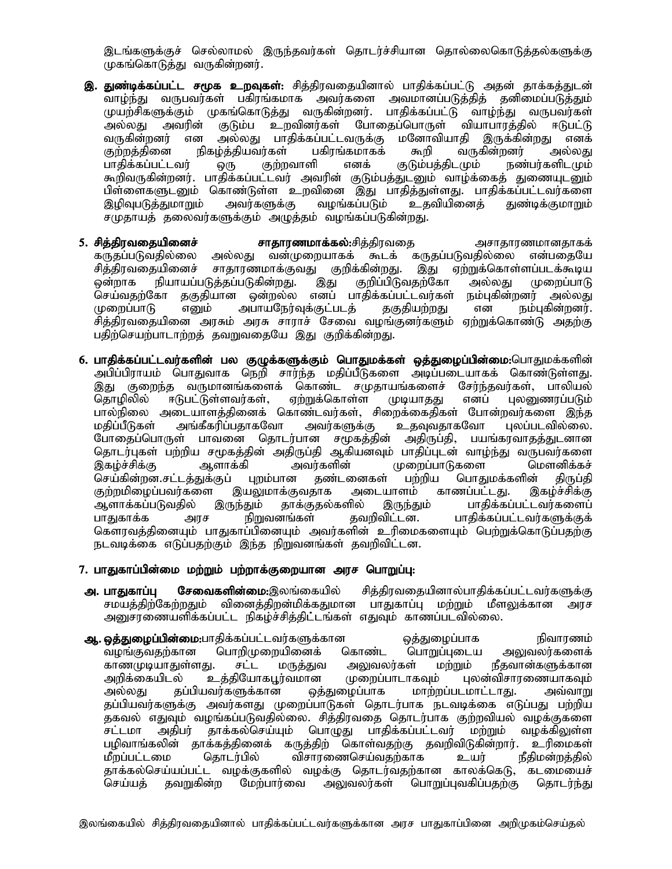இடங்களுக்குச் செல்லாமல் இருந்தவர்கள் தொடர்ச்சியான தொல்லைகொடுத்தல்களுக்கு முகங்கொடுத்து வருகின்றனர்.

- இ. துண்டிக்கப்பட்ட சமூக உறவுகள்: சித்திரவதையினால் பாதிக்கப்பட்டு அதன் தாக்கத்துடன் .<br>வாழ்ந்து வருபவர்கள் பகிரங்கமாக அவர்களை அவமானப்படுத்தித் தனிமைப்படுத்தும் முயற்சிகளுக்கும் முகங்கொடுத்து வருகின்றனர். பாதிக்கப்பட்டு வாழ்ந்து வருபவர்கள் அல்லது அவரின் குடும்ப உறவினர்கள் போதைப்பொருள் வியாபாரத்தில் ஈடுபட்டு<br>வருகின்றனர் என அல்லது பாதிக்கப்பட்டவருக்கு மனோவியாதி இருக்கின்றது எனக் வருகின்றனர் என அல்லது பாதிக்கப்பட்டவருக்கு மனோவியாதி இருக்கின்றது எனக்<br>குற்றத்தினை நிகழ்த்தியவர்கள் பகிரங்கமாகக் கூறி வருகின்றனர் அல்லது குற்றத்தினை நிகழ்த்தியவர்கள் பகிரங்கமாகக் கூறி வருகின்றனர் அல்லது<br>பாதிக்கப்பட்டவர் ஒரு குற்றவாளி எனக் குடும்பத்திடமும் நண்பர்களிடமும் ஒரு குற்றவாளி எனக் குடும்பத்திடமும் நண்பர்களிடமும் கூறிவருகின்றனர். பாதிக்கப்பட்டவர் அவரின் குடும்பத்துடனும் வாழ்க்கைத் துணையுடனும் பிள்ளைகளுடனும் கொண்டுள்ள உறவினை இது பாதித்துள்ளது. பாதிக்கப்பட்டவர்களை இழிவுபடுத்துமாறும் அவர்களுக்கு வழங்கப்படும் உதவியினைத் துண்டிக்குமாறும் சமுதாயத் தலைவர்களுக்கும் அழுத்தம் வழங்கப்படுகின்றது.
- 5. rpj;jputijapidr ; rhjhuzkhf ;fy;:rpj;jputij mrhjhuzkhdjhff; கருதப்படுவதில்லை அல்லது வன்முறையாகக் கூடக் கருதப்படுவதில்லை என்பதையே<br>சித்திரவகையினைச் சாகாரணமாக்குவது குறிக்கின்றது. இது ஏற்றுக்கொள்ளப்படக்கூடிய சித்திரவதையினைச் சாதாரணமாக்குவது குறிக்கின்றது. இது ஏற்றுக்கொள்ளப்படக்கூடிய<br>ஒன்றாக நியாயப்படுத்தப்படுகின்றது. இது குறிப்பிடுவதற்கோ அல்லது முறைப்பாடு நியாயப்படுத்தப்படுகின்றது. இது குறிப்பிடுவதற்கோ அல்லது முறைப்பாடு<br>'கா ககுகியான ஒன்றல்ல எனப் பாதிக்கப்பட்டவர்கள் நம்புகின்றனர் அல்லது செய்வதற்கோ தகுதியான ஒன்றல்ல எனப் பாதிக்கப்பட்டவர்கள் நம்புகின்றனர் அல்லது<br>முறைப்பாடு எனும் அபாயநேர்வுக்குட்படத் தகுதியற்றது என நம்புகின்றனர். அபாயநேர்வுக்குட்படத் .<br>சிக்கிாவகையினை அரசும் அரசு சாராச் சேவை வழங்குனர்களும் ஏற்றுக்கொண்டு அதற்கு பதிற்செயற்பாடாற்றத் தவறுவதையே இது குறிக்கின்றது.
- 6. பாதிக்கப்பட்டவர்களின் பல குழுக்களுக்கும் பொதுமக்கள் ஒத்துழைப்பின்மை:பொதுமக்களின் அபிப்பிராயம் பொதுவாக நெறி சார்ந்த மதிப்பீடுகளை அடிப்படையாகக் கொண்டுள்ளது. இது குறைந்த வருமானங்களைக் கொண்ட சமுதாயங்களைச் சேர்ந்தவர்கள், பாலியல்<br>தொழிலில் ஈடுபட்டுள்ளவர்கள், ஏற்றுக்கொள்ள (மடியாதது எனப் புலனுணரப்படும் ஈடுபட்டுள்ளவர்கள், பால்நிலை அடையாளத்தினைக் கொண்டவர்கள், சிறைக்கைதிகள் போன்றவர்களை இந்த<br>மதிப்பீடுகள் அங்கீகரிப்பதாகவோ அவர்களுக்கு உதவுவதாகவோ புலப்படவில்லை. அங்கீகரிப்பதாகவோ அவர்களுக்கு போதைப்பொருள் பாவனை தொடர்பான சமூகத்தின் அதிருப்தி, பயங்கரவாதத்துடனான njhlu;Gfs; gw;wpa r%fj;jpd ; mjpUg;jp MfpadTk; ghjpg;Gld ; tho ;e;J tUgtu;fis ,fo;r ;rpf;F Mshf;fp mtu;fspd ; Kiwg;ghLfis nksdpf;fr ; செய்கின்றன.சட்டத்துக்குப் புறம்பான தண்டனைகள் பற்றிய பொதுமக்களின் திருப்தி<br>குற்றமிழைப்பவர்களை இயலுமாக்குவதாக அடையாளம் காணப்பட்டது. இகழ்ச்சிக்கு குற்றமிழைப்பவர்களை இயலுமாக்குவதாக அடையாளம்<br>ஆளாக்கப்படுவதில் இருந்தும் தாக்குதல்களில் இருந்தும் ஆளாக்கப்படுவதில் இருந்தும் தாக்குதல்களில் இருந்தும் பாதிக்கப்பட்டவர்களைப்<br>பாதுகாக்க அரச நிறுவனங்கள் தவறிவிட்டன. பாதிக்கப்பட்டவர்களுக்குக் அரச நிறுவனங்கள் தவறிவிட்டன. பாதிக்கப்பட்டவர்களுக்குக் கௌரவத்தினையும் பாதுகாப்பினையும் அவர்களின் உரிமைகளையும் பெற்றுக்கொடுப்பதற்கு நடவடிக்கை எடுப்பதற்கும் இந்த நிறுவனங்கள் தவறிவிட்டன.

#### 7. பாதுகாப்பின்மை மற்றும் பற்றாக்குறையான அரச பொறுப்பு:

- அ. பாதுகாப்பு சேவைகளின்மை:இலங்கையில் சித்திரவதையினால்பாதிக்கப்பட்டவர்களுக்கு<br>சமயத்திற்கேற்றதும் வினைத்திறன்மிக்கதுமான பாதுகாப்பு மற்றும் மீளலுக்கான அரச வினைத்திறன்மிக்கதுமான பாதுகாப்பு மற்றும் மீளலுக்கான அரச அனுசரணையளிக்கப்பட்ட நிகழ்ச்சித்திட்டங்கள் எதுவும் காணப்படவில்லை.
- M.xj;Jiog;gpd ;ik:ghjpf;fg;gl;ltu;fSf;fhd xj;Jiog;ghf epthuzk; வழங்குவதற்கான பொறிமுறையினைக் கொண்ட பொறுப்புடைய அலுவலர்களைக்<br>காணமுடியாதுள்ளது. சட்ட மருத்துவ அலுவலர்கள் மற்றும் நீதவான்களுக்கான காணமுடியாதுள்ளது. சட்ட மருத்துவ அலுவலர்கள் மற்றும் அறிக்கையிடல் உத்தியோகபூர்வமான முறைப்பாடாகவும் புலன்விசாரணையாகவும் அல்லது தப்பியவர்களுக்கான ஒத்துழைப்பாக மாற்றப்படமாட்டாது. அவ்வாறு தப்பியவர்களுக்கு அவர்களது முறைப்பாடுகள் தொடர்பாக நடவடிக்கை எடுப்பது பற்றிய தகவல் எதுவும் வழங்கப்படுவதில்லை. சித்திரவதை தொடர்பாக குற்றவியல் வழக்குகளை<br>சட்டமா அதிபர் தாக்கல்செய்யும் பொழுது பாதிக்கப்பட்டவர் மற்றும் வழக்கிலுள்ள சட்டமா அதிபர் தாக்கல்செய்யும் பொழுது பாதிக்கப்பட்டவர் மற்றும் பழிவாங்கலின் தாக்கத்தினைக் கருத்திற் கொள்வதற்கு தவறிவிடுகின்றார். உரிமைகள்<br>மீறப்பட்டமை தொடர்பில் விசாரணைசெய்வதற்காக உயர் நீதிமன்றத்தில் மீறப்பட்டமை தொடர்பில் விசாரணைசெய்வதற்காக உயர் தாக்கல்செய்யப்பட்ட வழக்குகளில் வழக்கு தொடர்வதற்கான காலக்கெடு, கடமையைச் செய்யத் தவறுகின்ற மேற்பார்வை அலுவலர்கள் பொறுப்புவகிப்பதற்கு தொடர்ந்து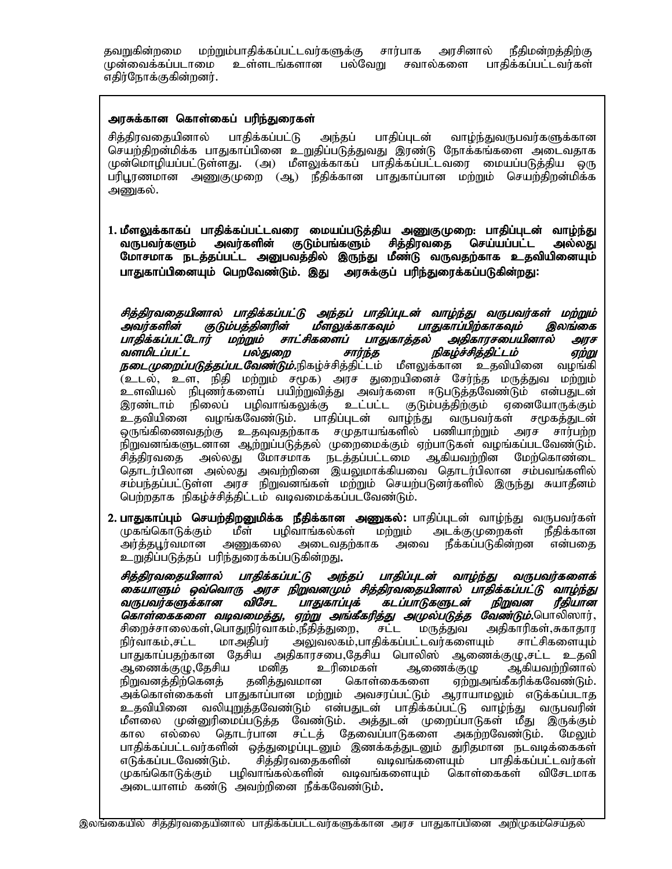தவறுகின்றமை மற்றும்பாதிக்கப்பட்டவர்களுக்கு சார்பாக அரசினால் நீதிமன்றத்திற்கு முன்வைக்கப்படாமை உள்ளடங்களான பல்வேறு சவால்களை பாதிக்கப்பட்டவர்கள் எதிர்நோக்குகின்றனர்.

## அரசுக்கான கொள்கைப் பரிந்துரைகள்

சித்திரவதையினால் பாதிக்கப்பட்டு அந்தப் பாதிப்புடன் வாழ்ந்துவருபவர்களுக்கான செயற்திறன்மிக்க பாதுகாப்பினை உறுதிப்படுத்துவது இரண்டு நோக்கங்களை அடைவதாக<br>முன்மொழியப்பட்டுள்ளது. (அ) மீளலுக்காகப் பாதிக்கப்பட்டவரை மையப்படுக்கிய ஒரு முன்மொழியப்பட்டுள்ளது. (அ) மீளலுக்காகப் பாதிக்கப்பட்டவரை மையப்படுத்திய பரிபூரணமான அணுகுமுறை (ஆ) நீதிக்கான பாதுகாப்பான மற்றும் செயற்திறன்மிக்க அணுகல்.

1. மீளலுக்காகப் பாதிக்கப்பட்டவரை மையப்படுத்திய அணுகுமுறை: பாதிப்புடன் வாழ்ந்து வருபவர்களும் அவர்களின் குடும்பங்களும் சித்திரவதை செய்யப்பட்ட அல்லது மோசமாக நடத்தப்பட்ட அனுபவத்தில் இருந்து மீண்டு வருவதற்காக உதவியினையும் பாதுகாப்பினையும் பெறவேண்டும். இது அரசுக்குப் பரிந்துரைக்கப்படுகின்றது:

சித்திரவதையினால் பாதிக்கப்பட்டு அந்தப் பாதிப்புடன் வாழ்ந்து வருபவர்கள் மற்றும்<br>அவர்களின் குடும்பத்தினரின் மீளலுக்காகவும் பாதுகாப்பிற்காகவும் இலங்கை குடும்பத்தினரின் மீளலுக்காகவும் பாதுகாப்பிற்காகவும் இலங்கை<br>டார் மற்றும் சாட்சிகளைப் பாதுகாத்தல் அதிகாரசபையினால் அரச ்பாதிக்கப்பட்டோர் மற்றும் சாட்சிகளைப் பாதுகாத்தல் அதிகாரசபையினால்<br>வளமிடப்பட்ட பல்துறை சார்ந்த நிகழ்ச்சித்திட்டம் சார்ந்த *நிகழ்ச்சித்திட்டம் எற்று நடைமுறைப்படுத்தப்படவேண்டும்.*நிகழ்ச்சித்திட்டம் மீளலுக்கான உதவியினை வழங்கி (உடல், உள, நிதி மற்றும் சமூக) அரச துறையினைச் சேர்ந்த மருத்துவ மற்றும் உளவியல் நிபுணர்களைப் பயிற்றுவித்து அவர்களை ஈடுபடுத்தவேண்டும் என்பதுடன் இரண்டாம் நிலைப் பழிவாங்கலுக்கு உட்பட்ட குடும்பத்திற்கும் ஏனையோருக்கும்<br>உதவியினை வழங்கவேண்டும். பாதிப்புடன் வாழ்ந்து வருபவர்கள் சமூகத்துடன் பாதிப்புடன் வாழ்ந்து ஒருங்கிணைவதற்கு உதவுவதற்காக சமுதாயங்களில் பணியாற்றும் அரச சார்பற்ற நிறுவனங்களுடனான ஆற்றுப்படுத்தல் முறைமைக்கும் ஏற்பாடுகள் வழங்கப்படவேண்டும். சித்திரவதை அல்லது மோசமாக நடத்தப்பட்டமை ஆகியவற்றின மேற்கொண்டை தொடர்பிலான அல்லது அவற்றினை இயலுமாக்கியவை தொடர்பிலான சம்பவங்களில் சம்பந்தப்பட்டுள்ள அரச நிறுவனங்கள் மற்றும் செயற்படுனர்களில் இருந்து சுயாதீனம் பெற்றதாக நிகழ்ச்சித்திட்டம் வடிவமைக்கப்படவேண்டும்.

<mark>2. பாதுகாப்பும் செயற்திறனுமிக்க நீதிக்கான அணுகல்:</mark> பாதிப்புடன் வாழ்ந்து வருபவர்கள்<br>முதங்கொடுக்கும் மீள் பழிவாங்கல்கள் மற்றும் அடக்குமுறைகள் நீதிக்கான முகங்கொடுக்கும் மீள் பழிவாங்கல்கள் மற்றும் அடக்குமுறைகள் நீதிக்கான<br>அர்த்தபூர்வமான அணுகலை அடைவதற்காக அவை நீக்கப்படுகின்றன என்பதை அர்த்தபூர்வமான அணுகலை அடைவதற்காக உறுதிப்படுத்தப் பரிந்துரைக்கப்படுகின்றது.

சித்திரவதையினால் பாதிக்கப்பட்டு அந்தப் பாதிப்புடன் வாழ்ந்து வருபவர்களைக் கையாளும் ஒவ்வொரு அரச நிறுவனமும் சித்திரவதையினால் பாதிக்கப்பட்டு வாழ்ந்து<br>வருபவர்களுக்கான விசேட பாதுகாப்புக் கடப்பாடுகளுடன் நிறுவன ரீகியான ்பாதுகாப்புக் கடப்பாடுகளுடன் நிறுவன ரீதியான கொள்கைகளை *வடிவமைத்து, ஏற்று அங்கீகரித்து அமுல்படுத்த வேண்டும்.*பொலிஸார், சிறைச்சாலைகள்,பொதுநிர்வாகம்,நீதித்துறை, சட்ட மருத்துவ அதிகாரிகள்,சுகாதார நிர்வாகம்,சட்ட மாஅதிபர் அலுவலகம்,பாதிக்கப்பட்டவர்களையும் சாட்சிகளையும் பாதுகாப்பதற்கான தேசிய அதிகாரசபை,தேசிய பொலிஸ் ஆணைக்குழு,சட்ட உதவி<br>ஆணைக்குழு,தேசிய மனித உரிமைகள் ஆணைக்குழு ஆகியவற்றினால் ஆணைக்குழு,தேசிய மனித உரிமைகள் ஆணைக்குழு ஆகியவற்றினால்<br>நிறுவனத்திற்கெனத் தனித்துவமான கொள்கைகளை ஏற்றுஅங்கீகரிக்கவேண்டும். நிறுவனத்திற்கெனத் தனித்துவமான கொள்கைகளை ஏற்றுஅங்கீகரிக்கவேண்டும். .<br>அக்கொள்கைகள் பாதுகாப்பான மற்றும் அவசரப்பட்டும் ஆராயாமலும் எடுக்கப்படாத உதவியினை வலியுறுத்தவேண்டும் என்பதுடன் பாதிக்கப்பட்டு வாழ்ந்து வருபவரின் மீளலை முன்னுரிமைப்படுத்த வேண்டும். அத்துடன் முறைப்பாடுகள் மீது இருக்கும் கால எல்லை தொடர்பான சட்டத் தேவைப்பாடுகளை அகற்றவேண்டும். மேலும் பாதிக்கப்பட்டவர்களின் ஒத்துழைப்புடனும் இணக்கத்துடனும் துரிதமான நடவடிக்கைகள்<br>எடுக்கப்படவேண்டும். சித்திரவதைகளின் வடிவங்களையும் பாதிக்கப்பட்டவர்கள் எடுக்கப்படவேண்டும். முகங்கொடுக்கும் பழிவாங்கல்களின் வடிவங்களையும் கொள்கைகள் விசேடமாக அடையாளம் கண்டு அவற்றினை நீக்கவேண்டும்.